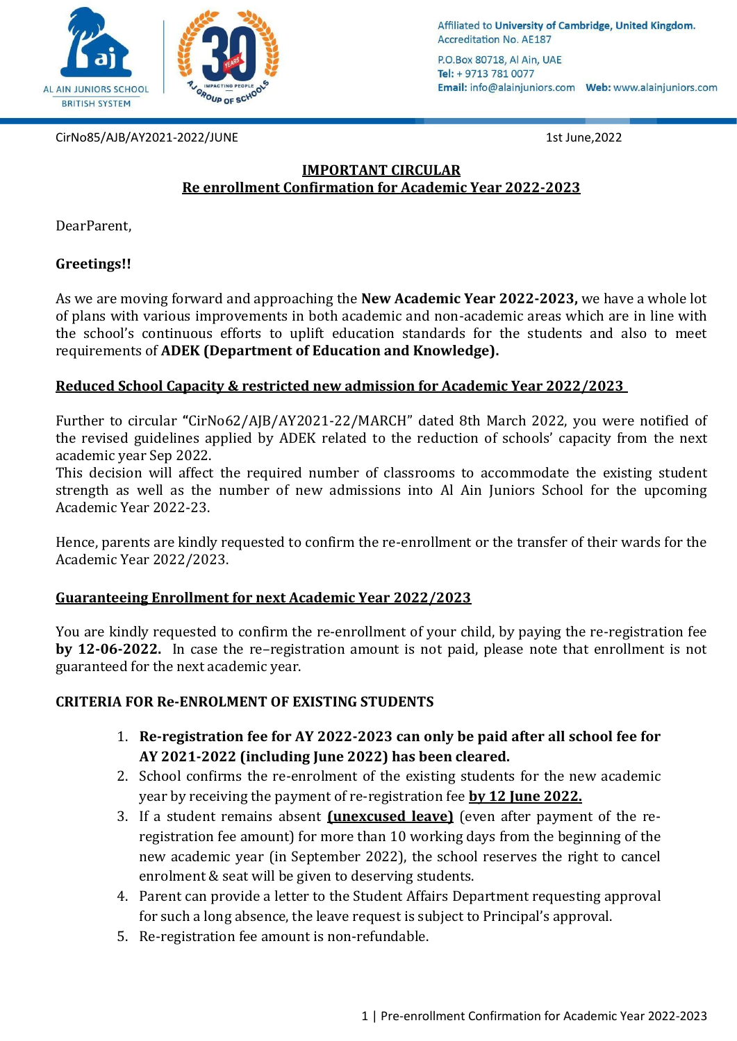

Affiliated to University of Cambridge, United Kingdom. **Accreditation No. AE187** 

P.O.Box 80718, Al Ain, UAE Tel: + 9713 781 0077 

CirNo85/AJB/AY2021-2022/JUNE 1st June,2022

# **IMPORTANT CIRCULAR Re enrollment Confirmation for Academic Year 2022-2023**

DearParent,

## **Greetings!!**

As we are moving forward and approaching the **New Academic Year 2022-2023,** we have a whole lot of plans with various improvements in both academic and non-academic areas which are in line with the school's continuous efforts to uplift education standards for the students and also to meet requirements of **ADEK (Department of Education and Knowledge).**

# **Reduced School Capacity & restricted new admission for Academic Year 2022/2023**

Further to circular **"**CirNo62/AJB/AY2021-22/MARCH" dated 8th March 2022, you were notified of the revised guidelines applied by ADEK related to the reduction of schools' capacity from the next academic year Sep 2022.

This decision will affect the required number of classrooms to accommodate the existing student strength as well as the number of new admissions into Al Ain Juniors School for the upcoming Academic Year 2022-23.

Hence, parents are kindly requested to confirm the re-enrollment or the transfer of their wards for the Academic Year 2022/2023.

## **Guaranteeing Enrollment for next Academic Year 2022/2023**

You are kindly requested to confirm the re-enrollment of your child, by paying the re-registration fee **by 12-06-2022.** In case the re–registration amount is not paid, please note that enrollment is not guaranteed for the next academic year.

## **CRITERIA FOR Re-ENROLMENT OF EXISTING STUDENTS**

- 1. **Re-registration fee for AY 2022-2023 can only be paid after all school fee for AY 2021-2022 (including June 2022) has been cleared.**
- 2. School confirms the re-enrolment of the existing students for the new academic year by receiving the payment of re-registration fee **by 12 June 2022.**
- 3. If a student remains absent **(unexcused leave)** (even after payment of the reregistration fee amount) for more than 10 working days from the beginning of the new academic year (in September 2022), the school reserves the right to cancel enrolment & seat will be given to deserving students.
- 4. Parent can provide a letter to the Student Affairs Department requesting approval for such a long absence, the leave request is subject to Principal's approval.
- 5. Re-registration fee amount is non-refundable.